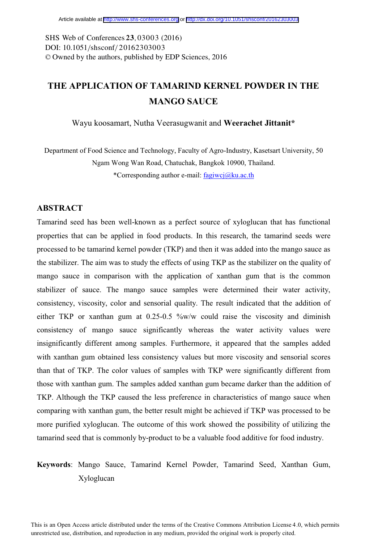DOI: 10.1051/shsconf/20162303003 -<sup>C</sup> Owned by the authors, published by EDP Sciences, 201 6 SHS Web of Conferences 23, 03003 (2016)

# **THE APPLICATION OF TAMARIND KERNEL POWDER IN THE MANGO SAUCE**

Wayu koosamart, Nutha Veerasugwanit and **Weerachet Jittanit\*** 

Department of Food Science and Technology, Faculty of Agro-Industry, Kasetsart University, 50 Ngam Wong Wan Road, Chatuchak, Bangkok 10900, Thailand. \*Corresponding author e-mail: fagiwcj@ku.ac.th

# **ABSTRACT**

Tamarind seed has been well-known as a perfect source of xyloglucan that has functional properties that can be applied in food products. In this research, the tamarind seeds were processed to be tamarind kernel powder (TKP) and then it was added into the mango sauce as the stabilizer. The aim was to study the effects of using TKP as the stabilizer on the quality of mango sauce in comparison with the application of xanthan gum that is the common stabilizer of sauce. The mango sauce samples were determined their water activity, consistency, viscosity, color and sensorial quality. The result indicated that the addition of either TKP or xanthan gum at  $0.25{\text -}0.5$  %w/w could raise the viscosity and diminish consistency of mango sauce significantly whereas the water activity values were insignificantly different among samples. Furthermore, it appeared that the samples added with xanthan gum obtained less consistency values but more viscosity and sensorial scores than that of TKP. The color values of samples with TKP were significantly different from those with xanthan gum. The samples added xanthan gum became darker than the addition of TKP. Although the TKP caused the less preference in characteristics of mango sauce when comparing with xanthan gum, the better result might be achieved if TKP was processed to be more purified xyloglucan. The outcome of this work showed the possibility of utilizing the tamarind seed that is commonly by-product to be a valuable food additive for food industry.

# **Keywords**: Mango Sauce, Tamarind Kernel Powder, Tamarind Seed, Xanthan Gum, Xyloglucan

This is an Open Access article distributed under the terms of the Creative Commons Attribution License 4.0, which permits unrestricted use, distribution, and reproduction in any medium, provided the original work is properly cited.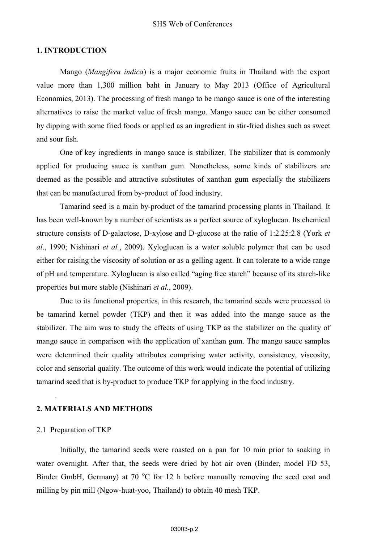#### SHS Web of Conferences

## **1. INTRODUCTION**

Mango (*Mangifera indica*) is a major economic fruits in Thailand with the export value more than 1,300 million baht in January to May 2013 (Office of Agricultural Economics, 2013). The processing of fresh mango to be mango sauce is one of the interesting alternatives to raise the market value of fresh mango. Mango sauce can be either consumed by dipping with some fried foods or applied as an ingredient in stir-fried dishes such as sweet and sour fish.

One of key ingredients in mango sauce is stabilizer. The stabilizer that is commonly applied for producing sauce is xanthan gum. Nonetheless, some kinds of stabilizers are deemed as the possible and attractive substitutes of xanthan gum especially the stabilizers that can be manufactured from by-product of food industry.

Tamarind seed is a main by-product of the tamarind processing plants in Thailand. It has been well-known by a number of scientists as a perfect source of xyloglucan. Its chemical structure consists of D-galactose, D-xylose and D-glucose at the ratio of 1:2.25:2.8 (York *et al*., 1990; Nishinari *et al.*, 2009). Xyloglucan is a water soluble polymer that can be used either for raising the viscosity of solution or as a gelling agent. It can tolerate to a wide range of pH and temperature. Xyloglucan is also called "aging free starch" because of its starch-like properties but more stable (Nishinari *et al.*, 2009).

Due to its functional properties, in this research, the tamarind seeds were processed to be tamarind kernel powder (TKP) and then it was added into the mango sauce as the stabilizer. The aim was to study the effects of using TKP as the stabilizer on the quality of mango sauce in comparison with the application of xanthan gum. The mango sauce samples were determined their quality attributes comprising water activity, consistency, viscosity, color and sensorial quality. The outcome of this work would indicate the potential of utilizing tamarind seed that is by-product to produce TKP for applying in the food industry.

#### **2. MATERIALS AND METHODS**

#### 2.1 Preparation of TKP

.

Initially, the tamarind seeds were roasted on a pan for 10 min prior to soaking in water overnight. After that, the seeds were dried by hot air oven (Binder, model FD 53, Binder GmbH, Germany) at 70 °C for 12 h before manually removing the seed coat and milling by pin mill (Ngow-huat-yoo, Thailand) to obtain 40 mesh TKP.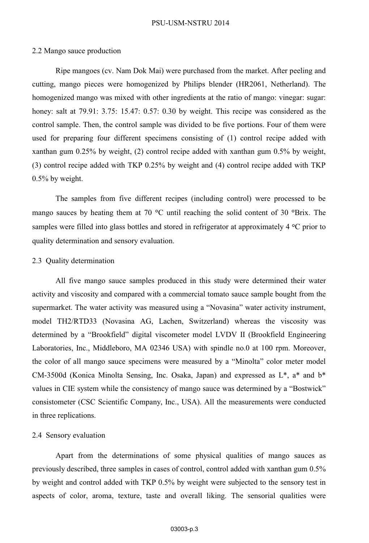#### PSU-USM-NSTRU 2014

# 2.2 Mango sauce production

Ripe mangoes (cv. Nam Dok Mai) were purchased from the market. After peeling and cutting, mango pieces were homogenized by Philips blender (HR2061, Netherland). The homogenized mango was mixed with other ingredients at the ratio of mango: vinegar: sugar: honey: salt at 79.91: 3.75: 15.47: 0.57: 0.30 by weight. This recipe was considered as the control sample. Then, the control sample was divided to be five portions. Four of them were used for preparing four different specimens consisting of (1) control recipe added with xanthan gum 0.25% by weight, (2) control recipe added with xanthan gum 0.5% by weight, (3) control recipe added with TKP 0.25% by weight and (4) control recipe added with TKP 0.5% by weight.

The samples from five different recipes (including control) were processed to be mango sauces by heating them at 70  $^{\circ}$ C until reaching the solid content of 30  $^{\circ}$ Brix. The samples were filled into glass bottles and stored in refrigerator at approximately  $4 °C$  prior to quality determination and sensory evaluation.

# 2.3 Quality determination

All five mango sauce samples produced in this study were determined their water activity and viscosity and compared with a commercial tomato sauce sample bought from the supermarket. The water activity was measured using a "Novasina" water activity instrument, model TH2/RTD33 (Novasina AG, Lachen, Switzerland) whereas the viscosity was determined by a "Brookfield" digital viscometer model LVDV II (Brookfield Engineering Laboratories, Inc., Middleboro, MA 02346 USA) with spindle no.0 at 100 rpm. Moreover, the color of all mango sauce specimens were measured by a "Minolta" color meter model CM-3500d (Konica Minolta Sensing, Inc. Osaka, Japan) and expressed as L\*, a\* and b\* values in CIE system while the consistency of mango sauce was determined by a "Bostwick" consistometer (CSC Scientific Company, Inc., USA). All the measurements were conducted in three replications.

# 2.4 Sensory evaluation

Apart from the determinations of some physical qualities of mango sauces as previously described, three samples in cases of control, control added with xanthan gum 0.5% by weight and control added with TKP 0.5% by weight were subjected to the sensory test in aspects of color, aroma, texture, taste and overall liking. The sensorial qualities were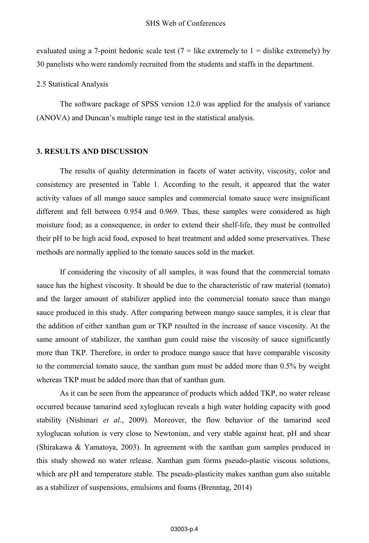evaluated using a 7-point hedonic scale test  $(7 =$  like extremely to  $1 =$  dislike extremely) by 30 panelists who were randomly recruited from the students and staffs in the department.

2.5 Statistical Analysis

The software package of SPSS version 12.0 was applied for the analysis of variance (ANOVA) and Duncan's multiple range test in the statistical analysis.

# **3. RESULTS AND DISCUSSION**

The results of quality determination in facets of water activity, viscosity, color and consistency are presented in Table 1. According to the result, it appeared that the water activity values of all mango sauce samples and commercial tomato sauce were insignificant different and fell between 0.954 and 0.969. Thus, these samples were considered as high moisture food; as a consequence, in order to extend their shelf-life, they must be controlled their pH to be high acid food, exposed to heat treatment and added some preservatives. These methods are normally applied to the tomato sauces sold in the market.

If considering the viscosity of all samples, it was found that the commercial tomato sauce has the highest viscosity. It should be due to the characteristic of raw material (tomato) and the larger amount of stabilizer applied into the commercial tomato sauce than mango sauce produced in this study. After comparing between mango sauce samples, it is clear that the addition of either xanthan gum or TKP resulted in the increase of sauce viscosity. At the same amount of stabilizer, the xanthan gum could raise the viscosity of sauce significantly more than TKP. Therefore, in order to produce mango sauce that have comparable viscosity to the commercial tomato sauce, the xanthan gum must be added more than 0.5% by weight whereas TKP must be added more than that of xanthan gum.

As it can be seen from the appearance of products which added TKP, no water release occurred because tamarind seed xyloglucan reveals a high water holding capacity with good stability (Nishinari *et al*., 2009). Moreover, the flow behavior of the tamarind seed xyloglucan solution is very close to Newtonian, and very stable against heat, pH and shear (Shirakawa & Yamatoya, 2003). In agreement with the xanthan gum samples produced in this study showed no water release. Xanthan gum forms pseudo-plastic viscous solutions, which are pH and temperature stable. The pseudo-plasticity makes xanthan gum also suitable as a stabilizer of suspensions, emulsions and foams (Brenntag, 2014)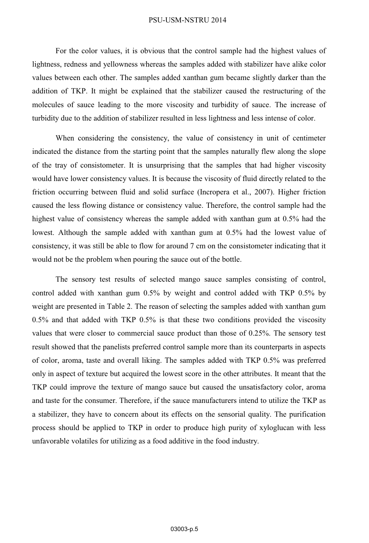#### PSU-USM-NSTRU 2014

For the color values, it is obvious that the control sample had the highest values of lightness, redness and yellowness whereas the samples added with stabilizer have alike color values between each other. The samples added xanthan gum became slightly darker than the addition of TKP. It might be explained that the stabilizer caused the restructuring of the molecules of sauce leading to the more viscosity and turbidity of sauce. The increase of turbidity due to the addition of stabilizer resulted in less lightness and less intense of color.

When considering the consistency, the value of consistency in unit of centimeter indicated the distance from the starting point that the samples naturally flew along the slope of the tray of consistometer. It is unsurprising that the samples that had higher viscosity would have lower consistency values. It is because the viscosity of fluid directly related to the friction occurring between fluid and solid surface (Incropera et al., 2007). Higher friction caused the less flowing distance or consistency value. Therefore, the control sample had the highest value of consistency whereas the sample added with xanthan gum at 0.5% had the lowest. Although the sample added with xanthan gum at 0.5% had the lowest value of consistency, it was still be able to flow for around 7 cm on the consistometer indicating that it would not be the problem when pouring the sauce out of the bottle.

The sensory test results of selected mango sauce samples consisting of control, control added with xanthan gum 0.5% by weight and control added with TKP 0.5% by weight are presented in Table 2. The reason of selecting the samples added with xanthan gum 0.5% and that added with TKP 0.5% is that these two conditions provided the viscosity values that were closer to commercial sauce product than those of 0.25%. The sensory test result showed that the panelists preferred control sample more than its counterparts in aspects of color, aroma, taste and overall liking. The samples added with TKP 0.5% was preferred only in aspect of texture but acquired the lowest score in the other attributes. It meant that the TKP could improve the texture of mango sauce but caused the unsatisfactory color, aroma and taste for the consumer. Therefore, if the sauce manufacturers intend to utilize the TKP as a stabilizer, they have to concern about its effects on the sensorial quality. The purification process should be applied to TKP in order to produce high purity of xyloglucan with less unfavorable volatiles for utilizing as a food additive in the food industry.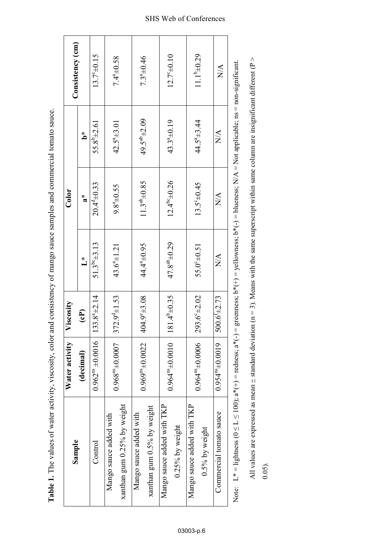| Sample                                                  | Water activity           | Viscosity                |                                                                                                                              | $_{\rm Color}$                     |                                 | Consistency (cm)                |
|---------------------------------------------------------|--------------------------|--------------------------|------------------------------------------------------------------------------------------------------------------------------|------------------------------------|---------------------------------|---------------------------------|
|                                                         | (decimal)                | $\mathbf{E}$             | $\overline{\phantom{a}}$                                                                                                     | $\boldsymbol{a}^*$                 | مٌ                              |                                 |
| Control                                                 | $0.962^{ns} \pm 0.0016$  | $133.8^{a} \pm 2.14$     | $51.3^{b6} \pm 3.13$                                                                                                         | $20.4^{9} \pm 0.33$                | $55.8^{9} \pm 2.61$             | 13.740.15                       |
| Mango sauce added with                                  | $0.968^{n}$ ±0.0007      | $372.9^{d} \pm 1.53$     | $43.6^{\circ} \pm 1.21$                                                                                                      | $9.8^{a} \pm 0.55$                 | $42.5^{\circ}$ ± 3.01           | $7.4^{4.0}_{-0.58}$             |
| xanthan gum 0.25% by weight                             |                          |                          |                                                                                                                              |                                    |                                 |                                 |
| Mango sauce added with                                  | $0.969^{n}$ ± 0.0022     | $404.9^{\circ}$ ±3.08    | 44.4 <sup>a</sup> ±0.95                                                                                                      | $11.3^{ab} \pm 0.85$               | 49.5 <sup>ab</sup> ±2.09        | $7.3^{4} \pm 0.46$              |
| xanthan gum 0.5% by weight                              |                          |                          |                                                                                                                              |                                    |                                 |                                 |
| Mango sauce added with TKP                              | $0.964^{n}$ $\pm 0.0010$ | $181.4^{\circ}\pm0.35$   | $47.8^{ab} \pm 0.29$                                                                                                         | $12.4^{b}$ <sup>c</sup> $\pm$ 0.26 | $43.3^{4} \pm 0.19$             | $12.7^{\circ}$ ±0.10            |
| $0.25\%$ by weight                                      |                          |                          |                                                                                                                              |                                    |                                 |                                 |
| Mango sauce added with TKP                              | $0.964^{n}$ $\pm 0.0006$ | $293.6^{\circ} \pm 2.02$ | $55.0^{6} \pm 0.51$                                                                                                          | $13.5^{\circ} \pm 0.45$            | $44.5^{\circ}$ $\pm$ 3.44       | $11.1^{b} \pm 0.29$             |
| $0.5%$ by weight                                        |                          |                          |                                                                                                                              |                                    |                                 |                                 |
| Commercial tomato sauce                                 | $0.954^{n_8}$ ±0.0019    | $500.6^{\text{+}}2.73$   | $\frac{\mathbf{A}}{\mathbf{A}}$                                                                                              | $\frac{\mathbf{A}}{\mathbf{A}}$    | $\frac{\mathbf{A}}{\mathbf{N}}$ | $\frac{\mathbf{A}}{\mathbf{N}}$ |
| Note: $L^* =$ lightness ( $0 \le L \le 100$ ); $a^*(+)$ |                          |                          | = redness; $a^*(-)$ = greenness; $b^*(-)$ = yellowness; $b^*(-)$ = blueness; $N/A$ = Not applicable; $ns$ = non-significant. |                                    |                                 |                                 |

All values are expressed as mean  $\pm$  standard deviation (n = 3). Means with the same superscript within same column are insignificant different (P >

All values are expressed as mean  $\pm$  standard deviation (n = 3). Means with the same superscript within same column are insignificant different (P >

0.05).

**Table 1.** The values of water activity, viscosity, color and consistency of mango sauce samples and commercial tomato sauce. Table 1. The values of water activity, viscosity, color and consistency of mango sauce samples and commercial tomato sauce.

# SHS Web of Conferences

03003-p.6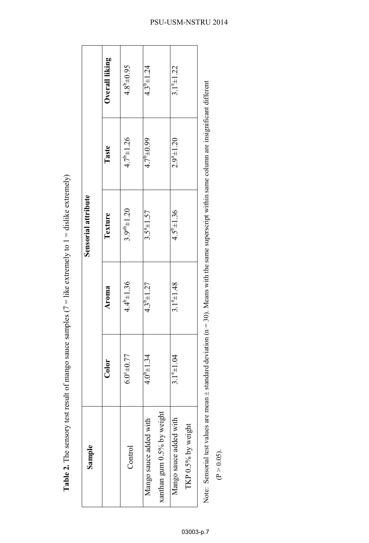| Sample                                                  |                    |                     | Sensorial attribute                                                                                                   |                     |                    |
|---------------------------------------------------------|--------------------|---------------------|-----------------------------------------------------------------------------------------------------------------------|---------------------|--------------------|
|                                                         |                    |                     |                                                                                                                       |                     |                    |
|                                                         | $_{\rm Color}$     | Aroma               | Texture                                                                                                               | <b>Taste</b>        | Overall liking     |
| Control                                                 | $6.0^{4}$ + 0.77   | $4.4^{b} \pm 1.36$  | $3.9^{ab} \pm 1.20$                                                                                                   | $4.7^{b} \pm 1.26$  | $4.8^{b} \pm 0.95$ |
| xanthan gum $0.5\%$ by weight<br>Mango sauce added with | $4.0^{9} \pm 1.34$ | $4.3^{\circ}$ ±1.27 | $3.5^{a} \pm 1.57$                                                                                                    | $4.7^{\circ}$ ±0.99 | $4.3^{9} \pm 1.24$ |
| Mango sauce added with<br>TKP $0.5\%$ by weight         | $3.1^{4} \pm 1.04$ | $3.1^{a} \pm 1.48$  | $4.5^{6} \pm 1.36$                                                                                                    | $2.9^{a} \pm 1.20$  | $3.1^{a} \pm 1.22$ |
| Note: Sensorial test values are mean ±                  |                    |                     | $\pm$ standard deviation ( $n = 30$ ). Means with the same superscript within same column are insignificant different |                     |                    |

**Table 2.** The sensory test result of mango sauce samples ( $7 =$  like extremely to  $1 =$  dislike extremely) **Table 2.** The sensory test result of mango sauce samples ( $7 =$  like extremely to  $1 =$  dislike extremely)

03003-p.7

 $(P > 0.05)$ .

# PSU-USM-NSTRU 2014